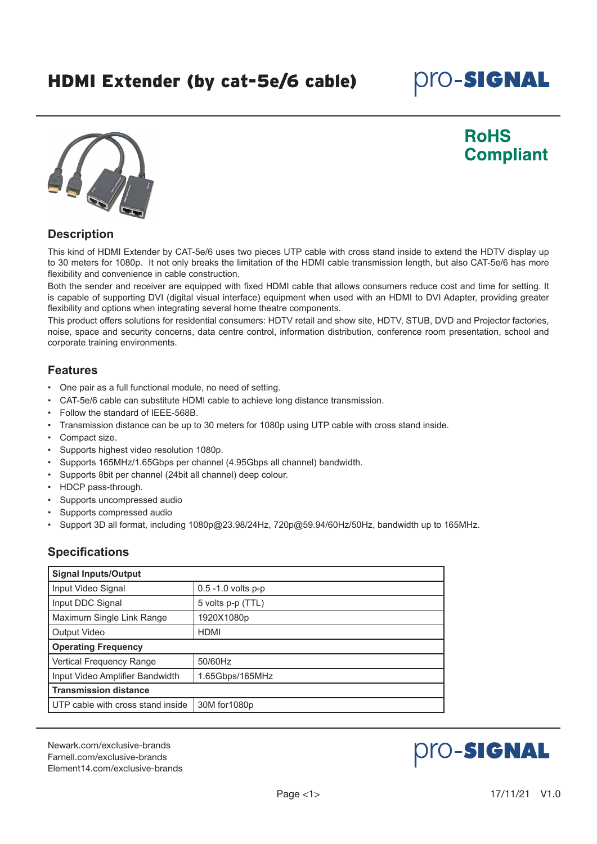# HDMI Extender (by cat-5e/6 cable)

# **pro-Signal**



## **RoHS Compliant**

## **Description**

This kind of HDMI Extender by CAT-5e/6 uses two pieces UTP cable with cross stand inside to extend the HDTV display up to 30 meters for 1080p. It not only breaks the limitation of the HDMI cable transmission length, but also CAT-5e/6 has more flexibility and convenience in cable construction.

Both the sender and receiver are equipped with fixed HDMI cable that allows consumers reduce cost and time for setting. It is capable of supporting DVI (digital visual interface) equipment when used with an HDMI to DVI Adapter, providing greater flexibility and options when integrating several home theatre components.

This product offers solutions for residential consumers: HDTV retail and show site, HDTV, STUB, DVD and Projector factories, noise, space and security concerns, data centre control, information distribution, conference room presentation, school and corporate training environments.

#### **Features**

- One pair as a full functional module, no need of setting.
- CAT-5e/6 cable can substitute HDMI cable to achieve long distance transmission.
- Follow the standard of IEEE-568B.
- Transmission distance can be up to 30 meters for 1080p using UTP cable with cross stand inside.
- Compact size.
- Supports highest video resolution 1080p.
- Supports 165MHz/1.65Gbps per channel (4.95Gbps all channel) bandwidth.
- Supports 8bit per channel (24bit all channel) deep colour.
- HDCP pass-through.
- Supports uncompressed audio
- Supports compressed audio
- Support 3D all format, including 1080p@23.98/24Hz, 720p@59.94/60Hz/50Hz, bandwidth up to 165MHz.

## **Specifications**

| <b>Signal Inputs/Output</b>       |                       |  |
|-----------------------------------|-----------------------|--|
| Input Video Signal                | $0.5 - 1.0$ volts p-p |  |
| Input DDC Signal                  | 5 volts p-p (TTL)     |  |
| Maximum Single Link Range         | 1920X1080p            |  |
| <b>Output Video</b>               | <b>HDMI</b>           |  |
| <b>Operating Frequency</b>        |                       |  |
| Vertical Frequency Range          | 50/60Hz               |  |
| Input Video Amplifier Bandwidth   | 1.65Gbps/165MHz       |  |
| <b>Transmission distance</b>      |                       |  |
| UTP cable with cross stand inside | 30M for 1080p         |  |